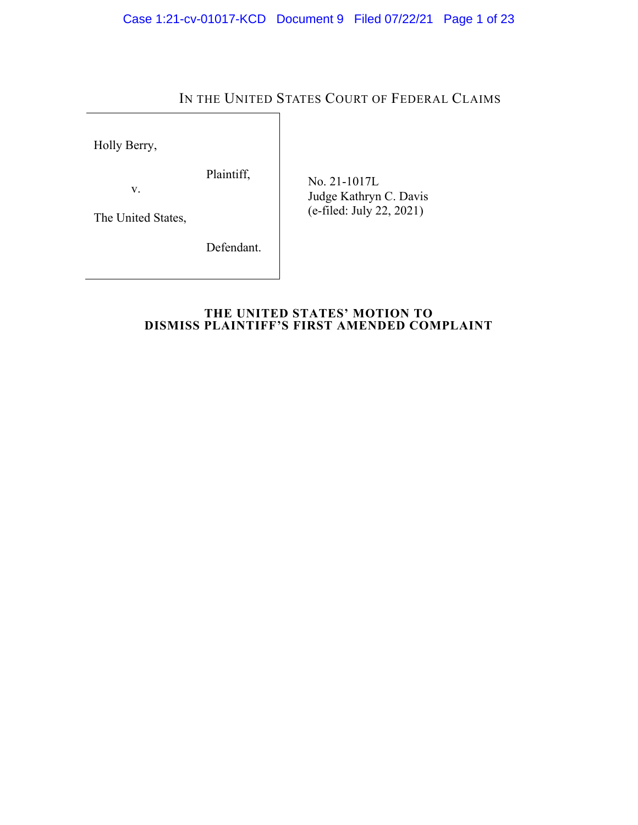# IN THE UNITED STATES COURT OF FEDERAL CLAIMS

Holly Berry,

Plaintiff,

v.

The United States,

Defendant.

 No. 21-1017L Judge Kathryn C. Davis (e-filed: July 22, 2021)

# **THE UNITED STATES' MOTION TO DISMISS PLAINTIFF'S FIRST AMENDED COMPLAINT**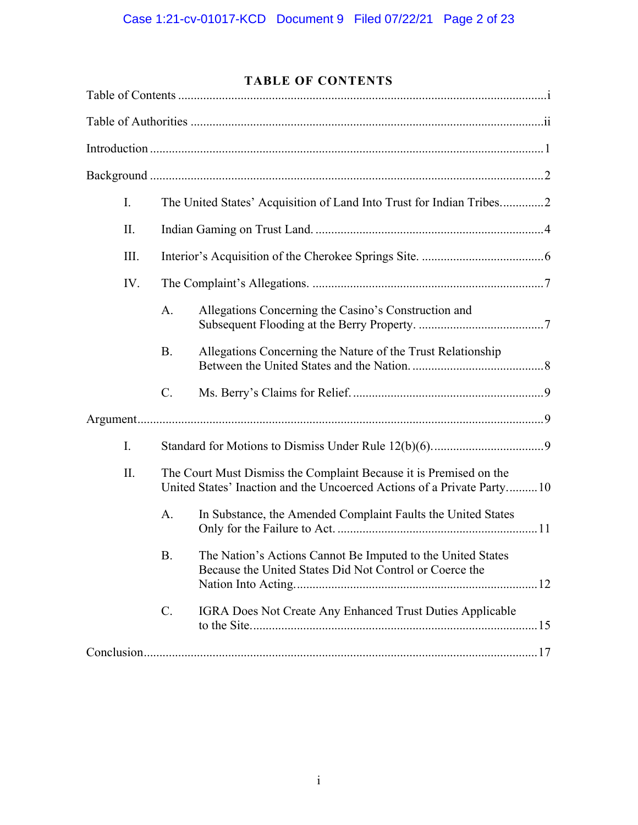# **TABLE OF CONTENTS**

| I.   |                                                                                                                                              | The United States' Acquisition of Land Into Trust for Indian Tribes2                                                   |
|------|----------------------------------------------------------------------------------------------------------------------------------------------|------------------------------------------------------------------------------------------------------------------------|
| Π.   |                                                                                                                                              |                                                                                                                        |
| III. |                                                                                                                                              |                                                                                                                        |
| IV.  |                                                                                                                                              |                                                                                                                        |
|      | A.                                                                                                                                           | Allegations Concerning the Casino's Construction and                                                                   |
|      | <b>B.</b>                                                                                                                                    | Allegations Concerning the Nature of the Trust Relationship                                                            |
|      | C.                                                                                                                                           |                                                                                                                        |
|      |                                                                                                                                              |                                                                                                                        |
| I.   |                                                                                                                                              |                                                                                                                        |
| Π.   | The Court Must Dismiss the Complaint Because it is Premised on the<br>United States' Inaction and the Uncoerced Actions of a Private Party10 |                                                                                                                        |
|      | A.                                                                                                                                           | In Substance, the Amended Complaint Faults the United States                                                           |
|      | Β.                                                                                                                                           | The Nation's Actions Cannot Be Imputed to the United States<br>Because the United States Did Not Control or Coerce the |
|      | C.                                                                                                                                           | IGRA Does Not Create Any Enhanced Trust Duties Applicable                                                              |
|      |                                                                                                                                              |                                                                                                                        |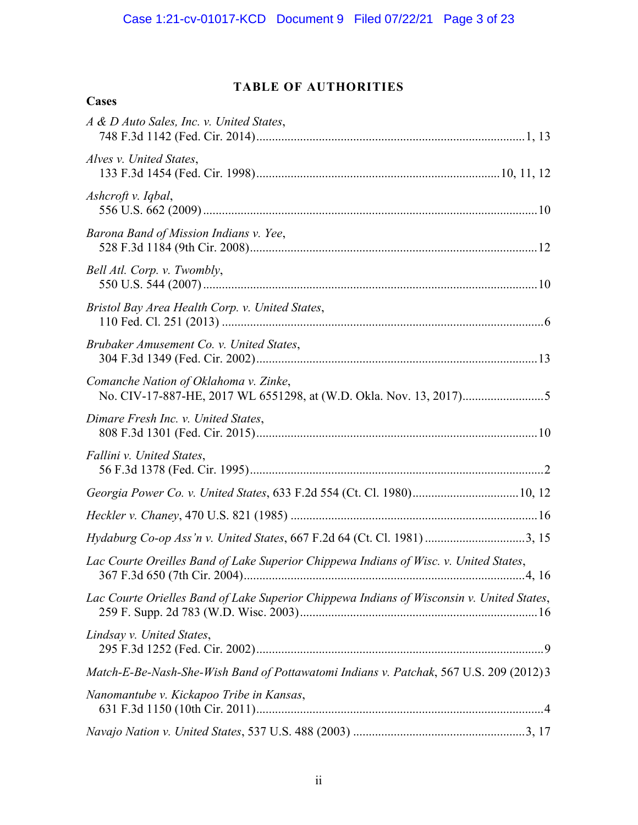# **TABLE OF AUTHORITIES**

| Cases                                                                                     |
|-------------------------------------------------------------------------------------------|
| A & D Auto Sales, Inc. v. United States,                                                  |
| Alves v. United States,                                                                   |
| Ashcroft v. Iqbal,                                                                        |
| Barona Band of Mission Indians v. Yee,                                                    |
| Bell Atl. Corp. v. Twombly,                                                               |
| Bristol Bay Area Health Corp. v. United States,                                           |
| Brubaker Amusement Co. v. United States,                                                  |
| Comanche Nation of Oklahoma v. Zinke,                                                     |
| Dimare Fresh Inc. v. United States,                                                       |
| Fallini v. United States,                                                                 |
| Georgia Power Co. v. United States, 633 F.2d 554 (Ct. Cl. 1980) 10, 12                    |
|                                                                                           |
| Hydaburg Co-op Ass'n v. United States, 667 F.2d 64 (Ct. Cl. 1981) 3, 15                   |
| Lac Courte Oreilles Band of Lake Superior Chippewa Indians of Wisc. v. United States,     |
| Lac Courte Orielles Band of Lake Superior Chippewa Indians of Wisconsin v. United States, |
| Lindsay v. United States,                                                                 |
| Match-E-Be-Nash-She-Wish Band of Pottawatomi Indians v. Patchak, 567 U.S. 209 (2012) 3    |
| Nanomantube v. Kickapoo Tribe in Kansas,                                                  |
|                                                                                           |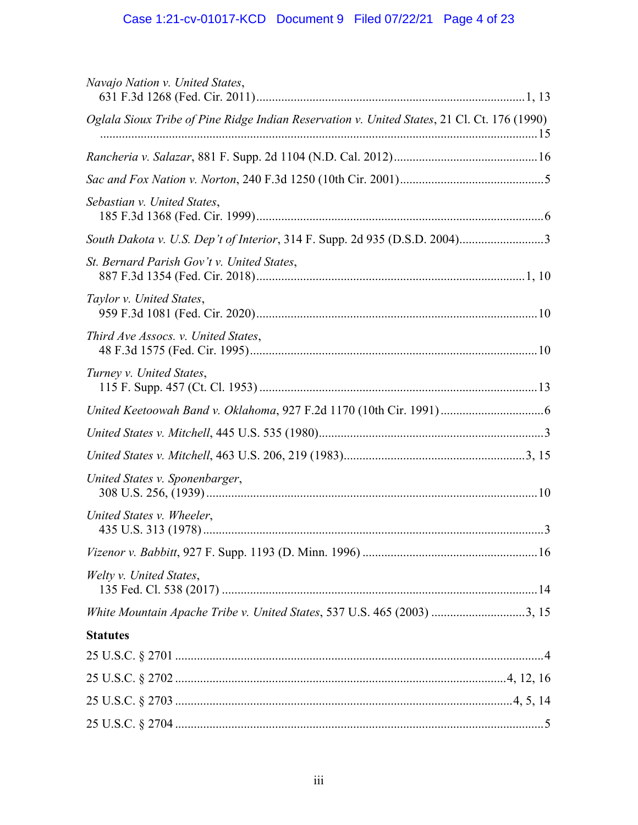# Case 1:21-cv-01017-KCD Document 9 Filed 07/22/21 Page 4 of 23

| Navajo Nation v. United States,                                                             |  |  |  |  |
|---------------------------------------------------------------------------------------------|--|--|--|--|
| Oglala Sioux Tribe of Pine Ridge Indian Reservation v. United States, 21 Cl. Ct. 176 (1990) |  |  |  |  |
|                                                                                             |  |  |  |  |
|                                                                                             |  |  |  |  |
| Sebastian v. United States,                                                                 |  |  |  |  |
| South Dakota v. U.S. Dep't of Interior, 314 F. Supp. 2d 935 (D.S.D. 2004)3                  |  |  |  |  |
| St. Bernard Parish Gov't v. United States,                                                  |  |  |  |  |
| Taylor v. United States,                                                                    |  |  |  |  |
| Third Ave Assocs. v. United States,                                                         |  |  |  |  |
| Turney v. United States,                                                                    |  |  |  |  |
|                                                                                             |  |  |  |  |
|                                                                                             |  |  |  |  |
|                                                                                             |  |  |  |  |
| United States v. Sponenbarger,                                                              |  |  |  |  |
| United States v. Wheeler,                                                                   |  |  |  |  |
|                                                                                             |  |  |  |  |
| Welty v. United States,                                                                     |  |  |  |  |
| White Mountain Apache Tribe v. United States, 537 U.S. 465 (2003) 3, 15                     |  |  |  |  |
| <b>Statutes</b>                                                                             |  |  |  |  |
|                                                                                             |  |  |  |  |
|                                                                                             |  |  |  |  |
|                                                                                             |  |  |  |  |
|                                                                                             |  |  |  |  |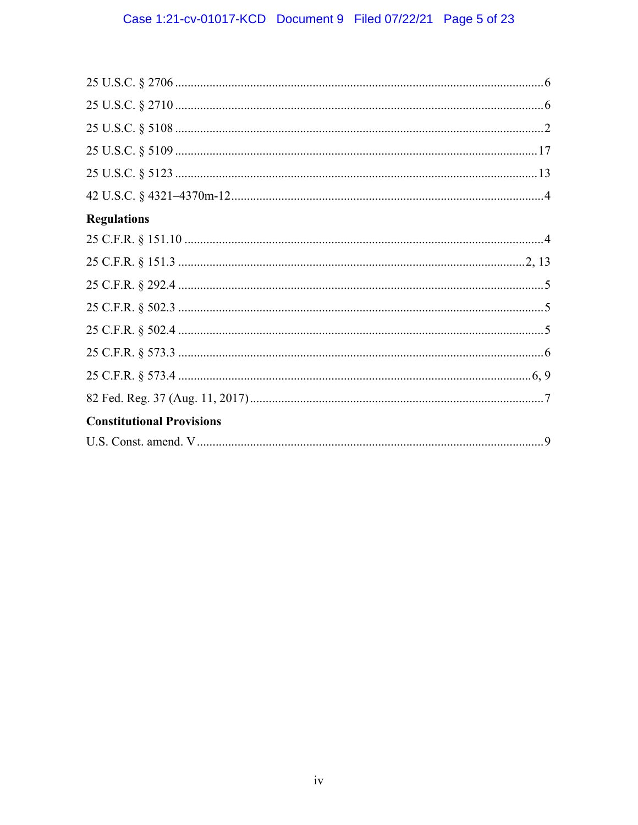# Case 1:21-cv-01017-KCD Document 9 Filed 07/22/21 Page 5 of 23

| <b>Regulations</b>               |
|----------------------------------|
|                                  |
|                                  |
|                                  |
|                                  |
|                                  |
|                                  |
|                                  |
|                                  |
| <b>Constitutional Provisions</b> |
|                                  |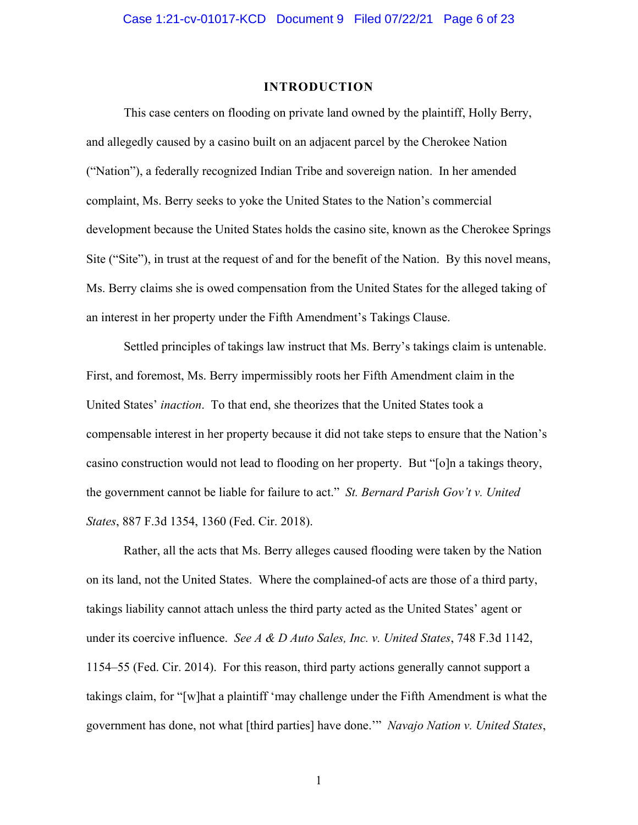#### **INTRODUCTION**

This case centers on flooding on private land owned by the plaintiff, Holly Berry, and allegedly caused by a casino built on an adjacent parcel by the Cherokee Nation ("Nation"), a federally recognized Indian Tribe and sovereign nation. In her amended complaint, Ms. Berry seeks to yoke the United States to the Nation's commercial development because the United States holds the casino site, known as the Cherokee Springs Site ("Site"), in trust at the request of and for the benefit of the Nation. By this novel means, Ms. Berry claims she is owed compensation from the United States for the alleged taking of an interest in her property under the Fifth Amendment's Takings Clause.

Settled principles of takings law instruct that Ms. Berry's takings claim is untenable. First, and foremost, Ms. Berry impermissibly roots her Fifth Amendment claim in the United States' *inaction*. To that end, she theorizes that the United States took a compensable interest in her property because it did not take steps to ensure that the Nation's casino construction would not lead to flooding on her property. But "[o]n a takings theory, the government cannot be liable for failure to act." *St. Bernard Parish Gov't v. United States*, 887 F.3d 1354, 1360 (Fed. Cir. 2018).

Rather, all the acts that Ms. Berry alleges caused flooding were taken by the Nation on its land, not the United States. Where the complained-of acts are those of a third party, takings liability cannot attach unless the third party acted as the United States' agent or under its coercive influence. *See A & D Auto Sales, Inc. v. United States*, 748 F.3d 1142, 1154–55 (Fed. Cir. 2014). For this reason, third party actions generally cannot support a takings claim, for "[w]hat a plaintiff 'may challenge under the Fifth Amendment is what the government has done, not what [third parties] have done.'" *Navajo Nation v. United States*,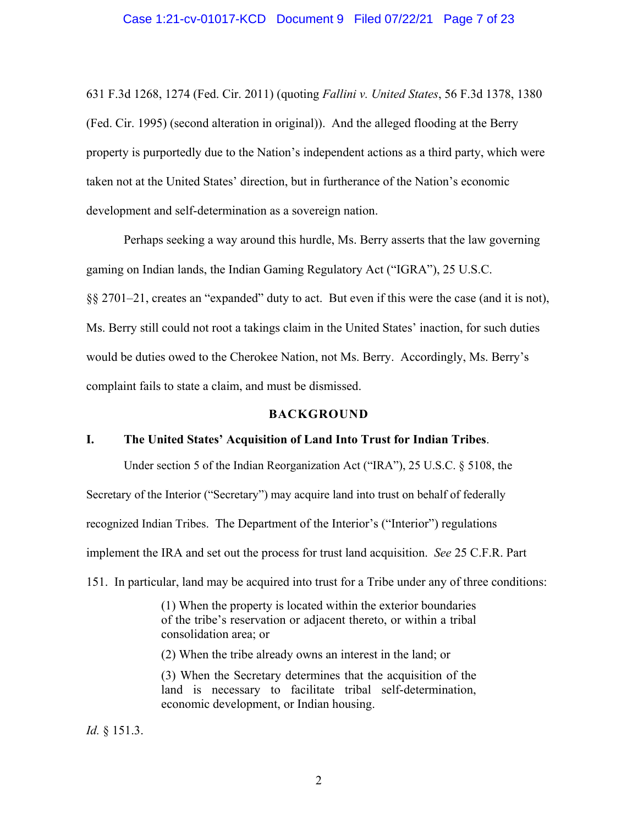631 F.3d 1268, 1274 (Fed. Cir. 2011) (quoting *Fallini v. United States*, 56 F.3d 1378, 1380 (Fed. Cir. 1995) (second alteration in original)). And the alleged flooding at the Berry property is purportedly due to the Nation's independent actions as a third party, which were taken not at the United States' direction, but in furtherance of the Nation's economic development and self-determination as a sovereign nation.

Perhaps seeking a way around this hurdle, Ms. Berry asserts that the law governing gaming on Indian lands, the Indian Gaming Regulatory Act ("IGRA"), 25 U.S.C. §§ 2701–21, creates an "expanded" duty to act. But even if this were the case (and it is not), Ms. Berry still could not root a takings claim in the United States' inaction, for such duties would be duties owed to the Cherokee Nation, not Ms. Berry. Accordingly, Ms. Berry's complaint fails to state a claim, and must be dismissed.

# **BACKGROUND**

# **I. The United States' Acquisition of Land Into Trust for Indian Tribes**.

Under section 5 of the Indian Reorganization Act ("IRA"), 25 U.S.C. § 5108, the

Secretary of the Interior ("Secretary") may acquire land into trust on behalf of federally

recognized Indian Tribes. The Department of the Interior's ("Interior") regulations

implement the IRA and set out the process for trust land acquisition. *See* 25 C.F.R. Part

151. In particular, land may be acquired into trust for a Tribe under any of three conditions:

(1) When the property is located within the exterior boundaries of the tribe's reservation or adjacent thereto, or within a tribal consolidation area; or

(2) When the tribe already owns an interest in the land; or

(3) When the Secretary determines that the acquisition of the land is necessary to facilitate tribal self-determination, economic development, or Indian housing.

*Id.* § 151.3.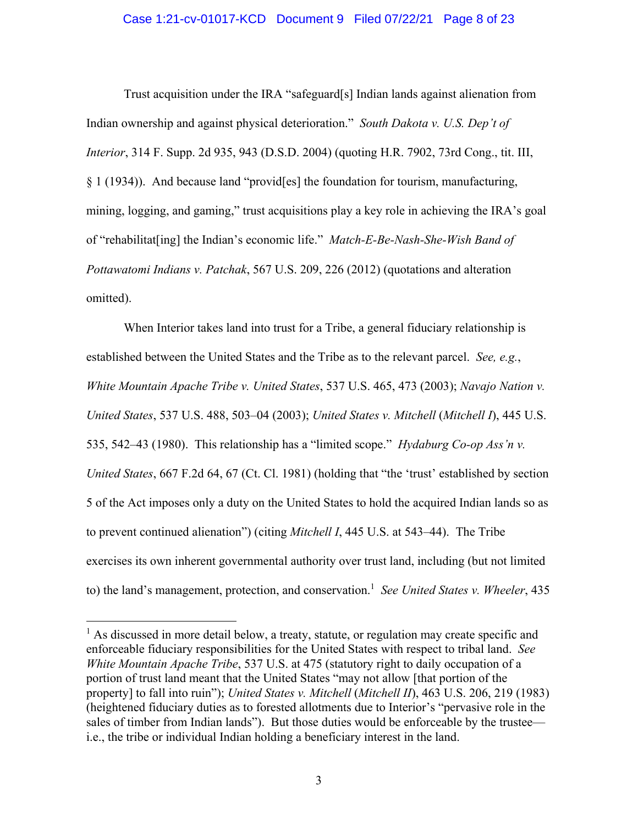#### Case 1:21-cv-01017-KCD Document 9 Filed 07/22/21 Page 8 of 23

Trust acquisition under the IRA "safeguard[s] Indian lands against alienation from Indian ownership and against physical deterioration." *South Dakota v. U.S. Dep't of Interior*, 314 F. Supp. 2d 935, 943 (D.S.D. 2004) (quoting H.R. 7902, 73rd Cong., tit. III, § 1 (1934)). And because land "provid[es] the foundation for tourism, manufacturing, mining, logging, and gaming," trust acquisitions play a key role in achieving the IRA's goal of "rehabilitat[ing] the Indian's economic life." *Match-E-Be-Nash-She-Wish Band of Pottawatomi Indians v. Patchak*, 567 U.S. 209, 226 (2012) (quotations and alteration omitted).

When Interior takes land into trust for a Tribe, a general fiduciary relationship is established between the United States and the Tribe as to the relevant parcel. *See, e.g.*, *White Mountain Apache Tribe v. United States*, 537 U.S. 465, 473 (2003); *Navajo Nation v. United States*, 537 U.S. 488, 503–04 (2003); *United States v. Mitchell* (*Mitchell I*), 445 U.S. 535, 542–43 (1980). This relationship has a "limited scope." *Hydaburg Co-op Ass'n v. United States*, 667 F.2d 64, 67 (Ct. Cl. 1981) (holding that "the 'trust' established by section 5 of the Act imposes only a duty on the United States to hold the acquired Indian lands so as to prevent continued alienation") (citing *Mitchell I*, 445 U.S. at 543–44). The Tribe exercises its own inherent governmental authority over trust land, including (but not limited to) the land's management, protection, and conservation.<sup>1</sup> See United States v. Wheeler, 435

 $\overline{a}$ 

<sup>&</sup>lt;sup>1</sup> As discussed in more detail below, a treaty, statute, or regulation may create specific and enforceable fiduciary responsibilities for the United States with respect to tribal land. *See White Mountain Apache Tribe*, 537 U.S. at 475 (statutory right to daily occupation of a portion of trust land meant that the United States "may not allow [that portion of the property] to fall into ruin"); *United States v. Mitchell* (*Mitchell II*), 463 U.S. 206, 219 (1983) (heightened fiduciary duties as to forested allotments due to Interior's "pervasive role in the sales of timber from Indian lands"). But those duties would be enforceable by the trustee i.e., the tribe or individual Indian holding a beneficiary interest in the land.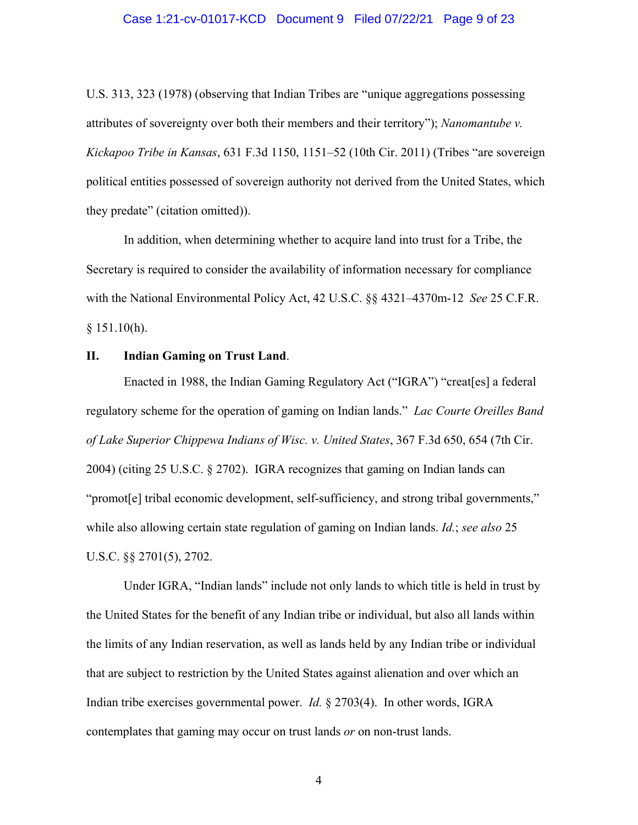#### Case 1:21-cv-01017-KCD Document 9 Filed 07/22/21 Page 9 of 23

U.S. 313, 323 (1978) (observing that Indian Tribes are "unique aggregations possessing attributes of sovereignty over both their members and their territory"); *Nanomantube v. Kickapoo Tribe in Kansas*, 631 F.3d 1150, 1151–52 (10th Cir. 2011) (Tribes "are sovereign political entities possessed of sovereign authority not derived from the United States, which they predate" (citation omitted)).

In addition, when determining whether to acquire land into trust for a Tribe, the Secretary is required to consider the availability of information necessary for compliance with the National Environmental Policy Act, 42 U.S.C. §§ 4321–4370m-12 *See* 25 C.F.R.  $§ 151.10(h).$ 

## **II. Indian Gaming on Trust Land**.

Enacted in 1988, the Indian Gaming Regulatory Act ("IGRA") "creat[es] a federal regulatory scheme for the operation of gaming on Indian lands." *Lac Courte Oreilles Band of Lake Superior Chippewa Indians of Wisc. v. United States*, 367 F.3d 650, 654 (7th Cir. 2004) (citing 25 U.S.C. § 2702). IGRA recognizes that gaming on Indian lands can "promot[e] tribal economic development, self-sufficiency, and strong tribal governments," while also allowing certain state regulation of gaming on Indian lands. *Id.*; *see also* 25 U.S.C. §§ 2701(5), 2702.

Under IGRA, "Indian lands" include not only lands to which title is held in trust by the United States for the benefit of any Indian tribe or individual, but also all lands within the limits of any Indian reservation, as well as lands held by any Indian tribe or individual that are subject to restriction by the United States against alienation and over which an Indian tribe exercises governmental power. *Id.* § 2703(4). In other words, IGRA contemplates that gaming may occur on trust lands *or* on non-trust lands.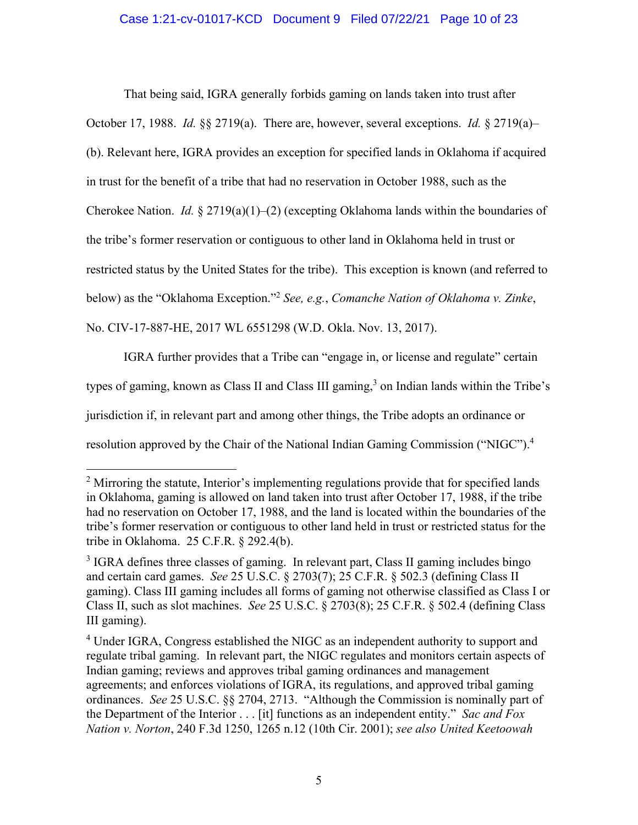## Case 1:21-cv-01017-KCD Document 9 Filed 07/22/21 Page 10 of 23

That being said, IGRA generally forbids gaming on lands taken into trust after October 17, 1988. *Id.* §§ 2719(a). There are, however, several exceptions. *Id.* § 2719(a)– (b). Relevant here, IGRA provides an exception for specified lands in Oklahoma if acquired in trust for the benefit of a tribe that had no reservation in October 1988, such as the Cherokee Nation. *Id.* § 2719(a)(1)–(2) (excepting Oklahoma lands within the boundaries of the tribe's former reservation or contiguous to other land in Oklahoma held in trust or restricted status by the United States for the tribe). This exception is known (and referred to below) as the "Oklahoma Exception."2 *See, e.g.*, *Comanche Nation of Oklahoma v. Zinke*, No. CIV-17-887-HE, 2017 WL 6551298 (W.D. Okla. Nov. 13, 2017).

IGRA further provides that a Tribe can "engage in, or license and regulate" certain types of gaming, known as Class II and Class III gaming, $3$  on Indian lands within the Tribe's jurisdiction if, in relevant part and among other things, the Tribe adopts an ordinance or resolution approved by the Chair of the National Indian Gaming Commission ("NIGC").<sup>4</sup>

 $\overline{a}$ 

 $2$  Mirroring the statute, Interior's implementing regulations provide that for specified lands in Oklahoma, gaming is allowed on land taken into trust after October 17, 1988, if the tribe had no reservation on October 17, 1988, and the land is located within the boundaries of the tribe's former reservation or contiguous to other land held in trust or restricted status for the tribe in Oklahoma. 25 C.F.R. § 292.4(b).

<sup>&</sup>lt;sup>3</sup> IGRA defines three classes of gaming. In relevant part, Class II gaming includes bingo and certain card games. *See* 25 U.S.C. § 2703(7); 25 C.F.R. § 502.3 (defining Class II gaming). Class III gaming includes all forms of gaming not otherwise classified as Class I or Class II, such as slot machines. *See* 25 U.S.C. § 2703(8); 25 C.F.R. § 502.4 (defining Class III gaming).

<sup>&</sup>lt;sup>4</sup> Under IGRA, Congress established the NIGC as an independent authority to support and regulate tribal gaming. In relevant part, the NIGC regulates and monitors certain aspects of Indian gaming; reviews and approves tribal gaming ordinances and management agreements; and enforces violations of IGRA, its regulations, and approved tribal gaming ordinances. *See* 25 U.S.C. §§ 2704, 2713. "Although the Commission is nominally part of the Department of the Interior . . . [it] functions as an independent entity." *Sac and Fox Nation v. Norton*, 240 F.3d 1250, 1265 n.12 (10th Cir. 2001); *see also United Keetoowah*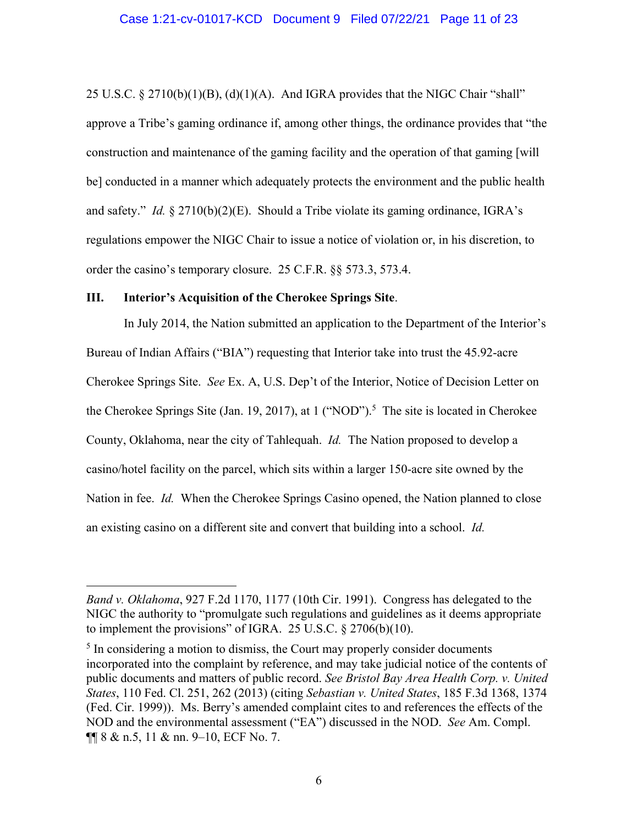25 U.S.C. § 2710(b)(1)(B), (d)(1)(A). And IGRA provides that the NIGC Chair "shall" approve a Tribe's gaming ordinance if, among other things, the ordinance provides that "the construction and maintenance of the gaming facility and the operation of that gaming [will be] conducted in a manner which adequately protects the environment and the public health and safety." *Id.* § 2710(b)(2)(E). Should a Tribe violate its gaming ordinance, IGRA's regulations empower the NIGC Chair to issue a notice of violation or, in his discretion, to order the casino's temporary closure. 25 C.F.R. §§ 573.3, 573.4.

#### **III. Interior's Acquisition of the Cherokee Springs Site**.

 $\overline{a}$ 

In July 2014, the Nation submitted an application to the Department of the Interior's Bureau of Indian Affairs ("BIA") requesting that Interior take into trust the 45.92-acre Cherokee Springs Site. *See* Ex. A, U.S. Dep't of the Interior, Notice of Decision Letter on the Cherokee Springs Site (Jan. 19, 2017), at  $1$  ("NOD").<sup>5</sup> The site is located in Cherokee County, Oklahoma, near the city of Tahlequah. *Id.* The Nation proposed to develop a casino/hotel facility on the parcel, which sits within a larger 150-acre site owned by the Nation in fee. *Id.* When the Cherokee Springs Casino opened, the Nation planned to close an existing casino on a different site and convert that building into a school. *Id.*

*Band v. Oklahoma*, 927 F.2d 1170, 1177 (10th Cir. 1991). Congress has delegated to the NIGC the authority to "promulgate such regulations and guidelines as it deems appropriate to implement the provisions" of IGRA. 25 U.S.C. § 2706(b)(10).

 $<sup>5</sup>$  In considering a motion to dismiss, the Court may properly consider documents</sup> incorporated into the complaint by reference, and may take judicial notice of the contents of public documents and matters of public record. *See Bristol Bay Area Health Corp. v. United States*, 110 Fed. Cl. 251, 262 (2013) (citing *Sebastian v. United States*, 185 F.3d 1368, 1374 (Fed. Cir. 1999)). Ms. Berry's amended complaint cites to and references the effects of the NOD and the environmental assessment ("EA") discussed in the NOD. *See* Am. Compl. ¶¶ 8 & n.5, 11 & nn. 9–10, ECF No. 7.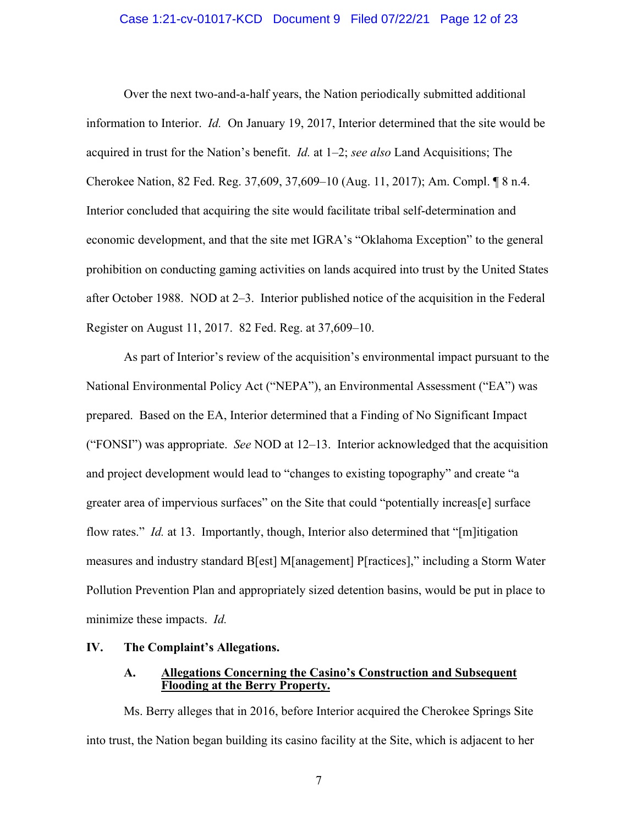#### Case 1:21-cv-01017-KCD Document 9 Filed 07/22/21 Page 12 of 23

Over the next two-and-a-half years, the Nation periodically submitted additional information to Interior. *Id.* On January 19, 2017, Interior determined that the site would be acquired in trust for the Nation's benefit. *Id.* at 1–2; *see also* Land Acquisitions; The Cherokee Nation, 82 Fed. Reg. 37,609, 37,609–10 (Aug. 11, 2017); Am. Compl. ¶ 8 n.4. Interior concluded that acquiring the site would facilitate tribal self-determination and economic development, and that the site met IGRA's "Oklahoma Exception" to the general prohibition on conducting gaming activities on lands acquired into trust by the United States after October 1988. NOD at 2–3. Interior published notice of the acquisition in the Federal Register on August 11, 2017. 82 Fed. Reg. at 37,609–10.

As part of Interior's review of the acquisition's environmental impact pursuant to the National Environmental Policy Act ("NEPA"), an Environmental Assessment ("EA") was prepared. Based on the EA, Interior determined that a Finding of No Significant Impact ("FONSI") was appropriate. *See* NOD at 12–13. Interior acknowledged that the acquisition and project development would lead to "changes to existing topography" and create "a greater area of impervious surfaces" on the Site that could "potentially increas[e] surface flow rates." *Id.* at 13. Importantly, though, Interior also determined that "[m]itigation measures and industry standard B[est] M[anagement] P[ractices]," including a Storm Water Pollution Prevention Plan and appropriately sized detention basins, would be put in place to minimize these impacts. *Id.*

## **IV. The Complaint's Allegations.**

## **A. Allegations Concerning the Casino's Construction and Subsequent Flooding at the Berry Property.**

Ms. Berry alleges that in 2016, before Interior acquired the Cherokee Springs Site into trust, the Nation began building its casino facility at the Site, which is adjacent to her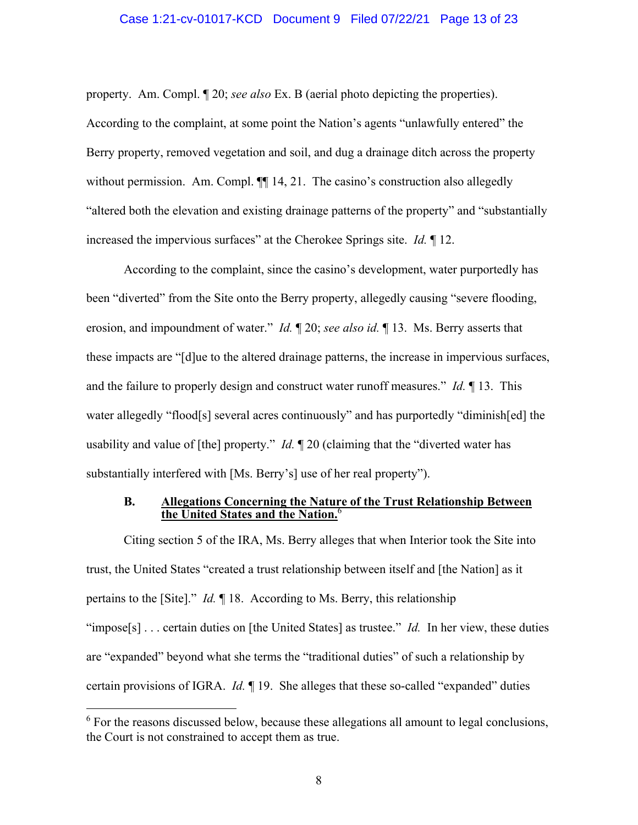#### Case 1:21-cv-01017-KCD Document 9 Filed 07/22/21 Page 13 of 23

property. Am. Compl. ¶ 20; *see also* Ex. B (aerial photo depicting the properties). According to the complaint, at some point the Nation's agents "unlawfully entered" the Berry property, removed vegetation and soil, and dug a drainage ditch across the property without permission. Am. Compl.  $\P$  14, 21. The casino's construction also allegedly "altered both the elevation and existing drainage patterns of the property" and "substantially increased the impervious surfaces" at the Cherokee Springs site. *Id.* ¶ 12.

According to the complaint, since the casino's development, water purportedly has been "diverted" from the Site onto the Berry property, allegedly causing "severe flooding, erosion, and impoundment of water." *Id.* ¶ 20; *see also id.* ¶ 13. Ms. Berry asserts that these impacts are "[d]ue to the altered drainage patterns, the increase in impervious surfaces, and the failure to properly design and construct water runoff measures." *Id.* ¶ 13. This water allegedly "flood[s] several acres continuously" and has purportedly "diminish[ed] the usability and value of [the] property." *Id.* ¶ 20 (claiming that the "diverted water has substantially interfered with [Ms. Berry's] use of her real property").

#### **B. Allegations Concerning the Nature of the Trust Relationship Between the United States and the Nation.**<sup>6</sup>

Citing section 5 of the IRA, Ms. Berry alleges that when Interior took the Site into trust, the United States "created a trust relationship between itself and [the Nation] as it pertains to the [Site]." *Id.* ¶ 18. According to Ms. Berry, this relationship "impose<sup>[s]</sup> . . . certain duties on [the United States] as trustee." *Id.* In her view, these duties are "expanded" beyond what she terms the "traditional duties" of such a relationship by certain provisions of IGRA. *Id.* ¶ 19. She alleges that these so-called "expanded" duties

 $\overline{a}$ 

 $6$  For the reasons discussed below, because these allegations all amount to legal conclusions, the Court is not constrained to accept them as true.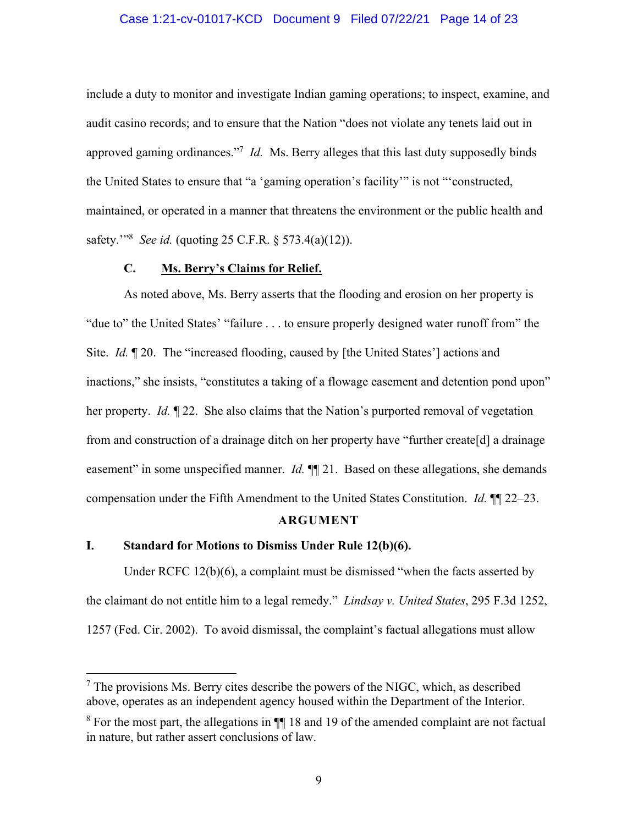#### Case 1:21-cv-01017-KCD Document 9 Filed 07/22/21 Page 14 of 23

include a duty to monitor and investigate Indian gaming operations; to inspect, examine, and audit casino records; and to ensure that the Nation "does not violate any tenets laid out in approved gaming ordinances."7 *Id.* Ms. Berry alleges that this last duty supposedly binds the United States to ensure that "a 'gaming operation's facility'" is not "'constructed, maintained, or operated in a manner that threatens the environment or the public health and safety.'"8 *See id.* (quoting 25 C.F.R. § 573.4(a)(12)).

#### **C. Ms. Berry's Claims for Relief.**

As noted above, Ms. Berry asserts that the flooding and erosion on her property is "due to" the United States' "failure . . . to ensure properly designed water runoff from" the Site. *Id.* ¶ 20. The "increased flooding, caused by [the United States'] actions and inactions," she insists, "constitutes a taking of a flowage easement and detention pond upon" her property. *Id.* ¶ 22. She also claims that the Nation's purported removal of vegetation from and construction of a drainage ditch on her property have "further create[d] a drainage easement" in some unspecified manner. *Id.*  $\P$  21. Based on these allegations, she demands compensation under the Fifth Amendment to the United States Constitution. *Id.* ¶¶ 22–23.

#### **ARGUMENT**

# **I. Standard for Motions to Dismiss Under Rule 12(b)(6).**

 $\overline{a}$ 

Under RCFC 12(b)(6), a complaint must be dismissed "when the facts asserted by the claimant do not entitle him to a legal remedy." *Lindsay v. United States*, 295 F.3d 1252, 1257 (Fed. Cir. 2002). To avoid dismissal, the complaint's factual allegations must allow

 $7$  The provisions Ms. Berry cites describe the powers of the NIGC, which, as described above, operates as an independent agency housed within the Department of the Interior.

<sup>&</sup>lt;sup>8</sup> For the most part, the allegations in  $\P$  18 and 19 of the amended complaint are not factual in nature, but rather assert conclusions of law.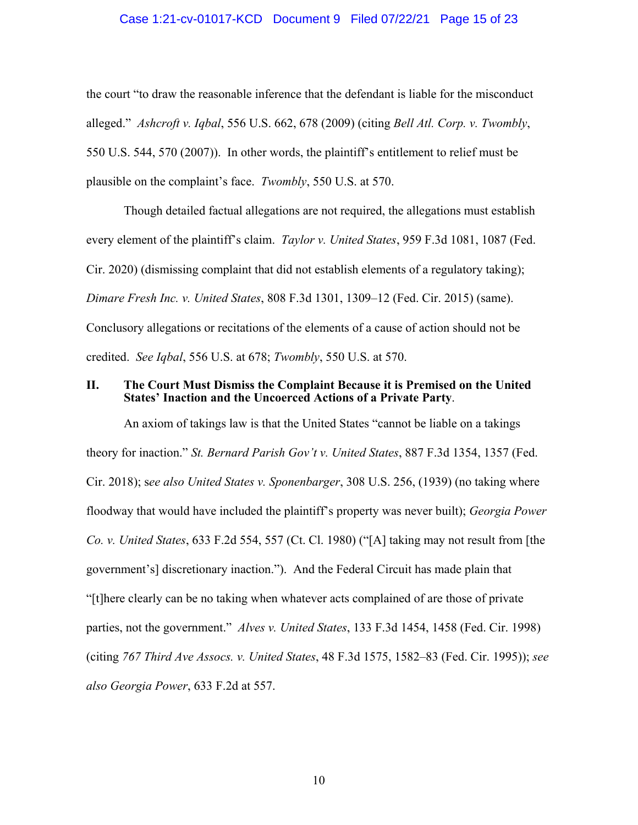#### Case 1:21-cv-01017-KCD Document 9 Filed 07/22/21 Page 15 of 23

the court "to draw the reasonable inference that the defendant is liable for the misconduct alleged." *Ashcroft v. Iqbal*, 556 U.S. 662, 678 (2009) (citing *Bell Atl. Corp. v. Twombly*, 550 U.S. 544, 570 (2007)). In other words, the plaintiff's entitlement to relief must be plausible on the complaint's face. *Twombly*, 550 U.S. at 570.

Though detailed factual allegations are not required, the allegations must establish every element of the plaintiff's claim. *Taylor v. United States*, 959 F.3d 1081, 1087 (Fed. Cir. 2020) (dismissing complaint that did not establish elements of a regulatory taking); *Dimare Fresh Inc. v. United States*, 808 F.3d 1301, 1309–12 (Fed. Cir. 2015) (same). Conclusory allegations or recitations of the elements of a cause of action should not be credited. *See Iqbal*, 556 U.S. at 678; *Twombly*, 550 U.S. at 570.

#### **II. The Court Must Dismiss the Complaint Because it is Premised on the United States' Inaction and the Uncoerced Actions of a Private Party**.

An axiom of takings law is that the United States "cannot be liable on a takings theory for inaction." *St. Bernard Parish Gov't v. United States*, 887 F.3d 1354, 1357 (Fed. Cir. 2018); s*ee also United States v. Sponenbarger*, 308 U.S. 256, (1939) (no taking where floodway that would have included the plaintiff's property was never built); *Georgia Power Co. v. United States*, 633 F.2d 554, 557 (Ct. Cl. 1980) ("[A] taking may not result from [the government's] discretionary inaction."). And the Federal Circuit has made plain that "[t]here clearly can be no taking when whatever acts complained of are those of private parties, not the government." *Alves v. United States*, 133 F.3d 1454, 1458 (Fed. Cir. 1998) (citing *767 Third Ave Assocs. v. United States*, 48 F.3d 1575, 1582–83 (Fed. Cir. 1995)); *see also Georgia Power*, 633 F.2d at 557.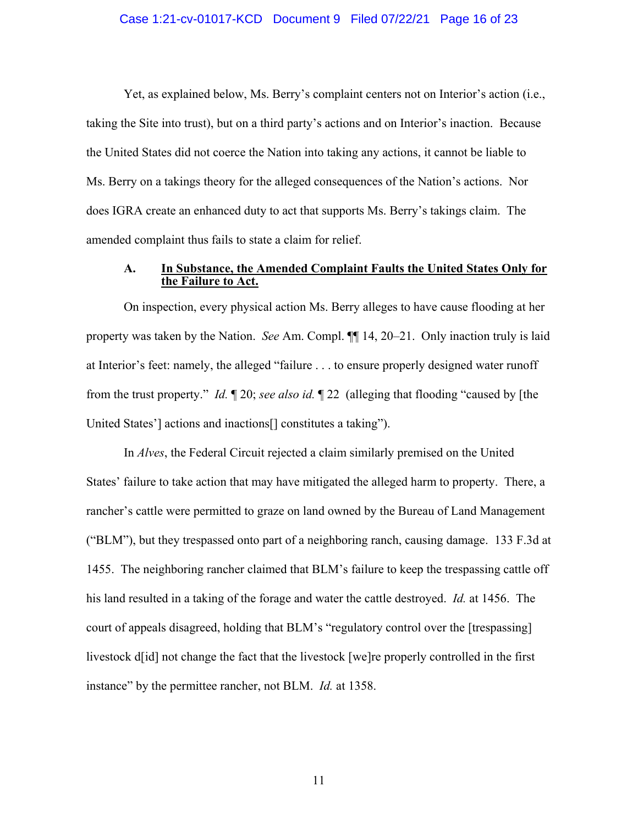#### Case 1:21-cv-01017-KCD Document 9 Filed 07/22/21 Page 16 of 23

Yet, as explained below, Ms. Berry's complaint centers not on Interior's action (i.e., taking the Site into trust), but on a third party's actions and on Interior's inaction. Because the United States did not coerce the Nation into taking any actions, it cannot be liable to Ms. Berry on a takings theory for the alleged consequences of the Nation's actions. Nor does IGRA create an enhanced duty to act that supports Ms. Berry's takings claim. The amended complaint thus fails to state a claim for relief.

#### **A. In Substance, the Amended Complaint Faults the United States Only for the Failure to Act.**

On inspection, every physical action Ms. Berry alleges to have cause flooding at her property was taken by the Nation. *See* Am. Compl. ¶¶ 14, 20–21. Only inaction truly is laid at Interior's feet: namely, the alleged "failure . . . to ensure properly designed water runoff from the trust property." *Id.* ¶ 20; *see also id.* ¶ 22 (alleging that flooding "caused by [the United States'] actions and inactions[] constitutes a taking").

In *Alves*, the Federal Circuit rejected a claim similarly premised on the United States' failure to take action that may have mitigated the alleged harm to property. There, a rancher's cattle were permitted to graze on land owned by the Bureau of Land Management ("BLM"), but they trespassed onto part of a neighboring ranch, causing damage. 133 F.3d at 1455. The neighboring rancher claimed that BLM's failure to keep the trespassing cattle off his land resulted in a taking of the forage and water the cattle destroyed. *Id.* at 1456. The court of appeals disagreed, holding that BLM's "regulatory control over the [trespassing] livestock d[id] not change the fact that the livestock [we]re properly controlled in the first instance" by the permittee rancher, not BLM. *Id.* at 1358.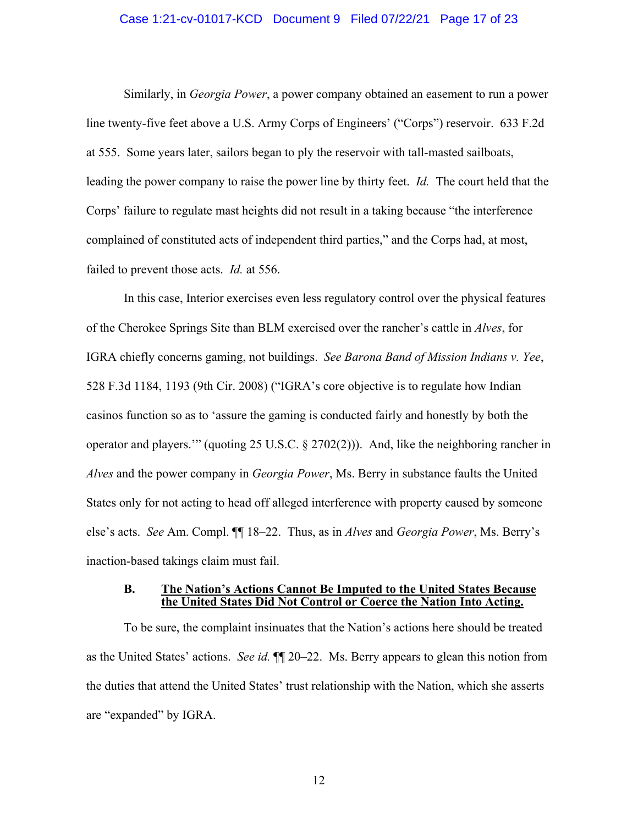#### Case 1:21-cv-01017-KCD Document 9 Filed 07/22/21 Page 17 of 23

Similarly, in *Georgia Power*, a power company obtained an easement to run a power line twenty-five feet above a U.S. Army Corps of Engineers' ("Corps") reservoir. 633 F.2d at 555. Some years later, sailors began to ply the reservoir with tall-masted sailboats, leading the power company to raise the power line by thirty feet. *Id.* The court held that the Corps' failure to regulate mast heights did not result in a taking because "the interference complained of constituted acts of independent third parties," and the Corps had, at most, failed to prevent those acts. *Id.* at 556.

In this case, Interior exercises even less regulatory control over the physical features of the Cherokee Springs Site than BLM exercised over the rancher's cattle in *Alves*, for IGRA chiefly concerns gaming, not buildings. *See Barona Band of Mission Indians v. Yee*, 528 F.3d 1184, 1193 (9th Cir. 2008) ("IGRA's core objective is to regulate how Indian casinos function so as to 'assure the gaming is conducted fairly and honestly by both the operator and players.'" (quoting 25 U.S.C. § 2702(2))). And, like the neighboring rancher in *Alves* and the power company in *Georgia Power*, Ms. Berry in substance faults the United States only for not acting to head off alleged interference with property caused by someone else's acts. *See* Am. Compl. ¶¶ 18–22. Thus, as in *Alves* and *Georgia Power*, Ms. Berry's inaction-based takings claim must fail.

#### **B. The Nation's Actions Cannot Be Imputed to the United States Because the United States Did Not Control or Coerce the Nation Into Acting.**

To be sure, the complaint insinuates that the Nation's actions here should be treated as the United States' actions. *See id.* ¶¶ 20–22. Ms. Berry appears to glean this notion from the duties that attend the United States' trust relationship with the Nation, which she asserts are "expanded" by IGRA.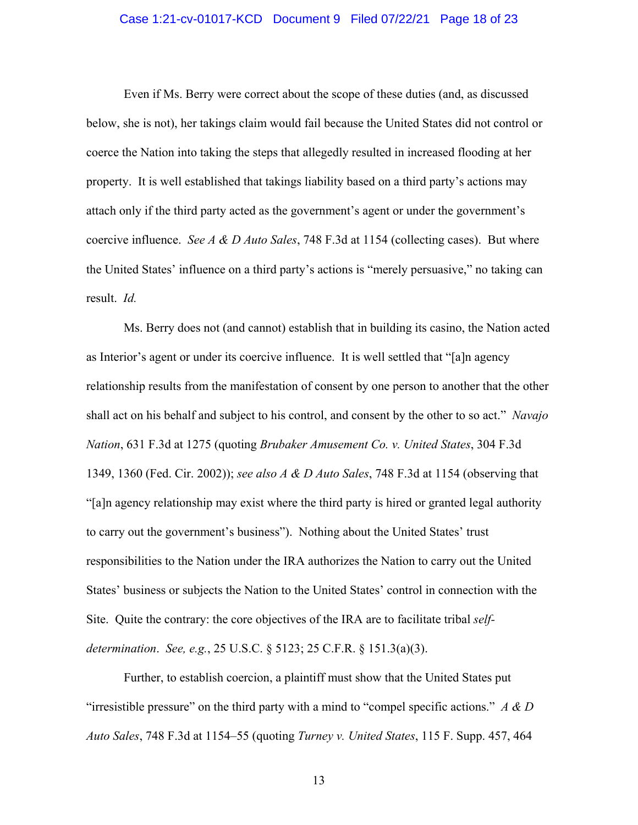#### Case 1:21-cv-01017-KCD Document 9 Filed 07/22/21 Page 18 of 23

Even if Ms. Berry were correct about the scope of these duties (and, as discussed below, she is not), her takings claim would fail because the United States did not control or coerce the Nation into taking the steps that allegedly resulted in increased flooding at her property. It is well established that takings liability based on a third party's actions may attach only if the third party acted as the government's agent or under the government's coercive influence. *See A & D Auto Sales*, 748 F.3d at 1154 (collecting cases). But where the United States' influence on a third party's actions is "merely persuasive," no taking can result. *Id.*

Ms. Berry does not (and cannot) establish that in building its casino, the Nation acted as Interior's agent or under its coercive influence. It is well settled that "[a]n agency relationship results from the manifestation of consent by one person to another that the other shall act on his behalf and subject to his control, and consent by the other to so act." *Navajo Nation*, 631 F.3d at 1275 (quoting *Brubaker Amusement Co. v. United States*, 304 F.3d 1349, 1360 (Fed. Cir. 2002)); *see also A & D Auto Sales*, 748 F.3d at 1154 (observing that "[a]n agency relationship may exist where the third party is hired or granted legal authority to carry out the government's business"). Nothing about the United States' trust responsibilities to the Nation under the IRA authorizes the Nation to carry out the United States' business or subjects the Nation to the United States' control in connection with the Site. Quite the contrary: the core objectives of the IRA are to facilitate tribal *selfdetermination*. *See, e.g.*, 25 U.S.C. § 5123; 25 C.F.R. § 151.3(a)(3).

Further, to establish coercion, a plaintiff must show that the United States put "irresistible pressure" on the third party with a mind to "compel specific actions." *A & D Auto Sales*, 748 F.3d at 1154–55 (quoting *Turney v. United States*, 115 F. Supp. 457, 464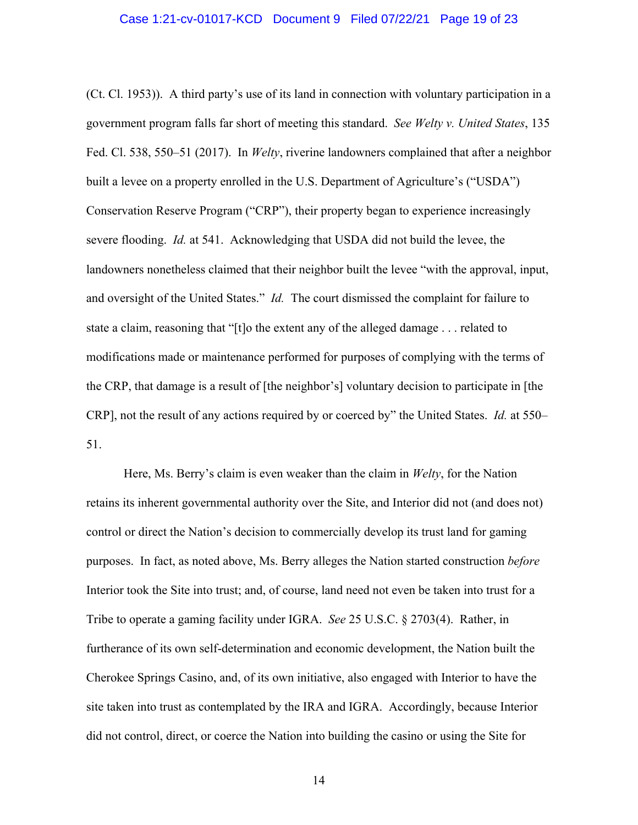#### Case 1:21-cv-01017-KCD Document 9 Filed 07/22/21 Page 19 of 23

(Ct. Cl. 1953)). A third party's use of its land in connection with voluntary participation in a government program falls far short of meeting this standard. *See Welty v. United States*, 135 Fed. Cl. 538, 550–51 (2017). In *Welty*, riverine landowners complained that after a neighbor built a levee on a property enrolled in the U.S. Department of Agriculture's ("USDA") Conservation Reserve Program ("CRP"), their property began to experience increasingly severe flooding. *Id.* at 541. Acknowledging that USDA did not build the levee, the landowners nonetheless claimed that their neighbor built the levee "with the approval, input, and oversight of the United States." *Id.* The court dismissed the complaint for failure to state a claim, reasoning that "[t]o the extent any of the alleged damage . . . related to modifications made or maintenance performed for purposes of complying with the terms of the CRP, that damage is a result of [the neighbor's] voluntary decision to participate in [the CRP], not the result of any actions required by or coerced by" the United States. *Id.* at 550– 51.

Here, Ms. Berry's claim is even weaker than the claim in *Welty*, for the Nation retains its inherent governmental authority over the Site, and Interior did not (and does not) control or direct the Nation's decision to commercially develop its trust land for gaming purposes. In fact, as noted above, Ms. Berry alleges the Nation started construction *before* Interior took the Site into trust; and, of course, land need not even be taken into trust for a Tribe to operate a gaming facility under IGRA. *See* 25 U.S.C. § 2703(4). Rather, in furtherance of its own self-determination and economic development, the Nation built the Cherokee Springs Casino, and, of its own initiative, also engaged with Interior to have the site taken into trust as contemplated by the IRA and IGRA. Accordingly, because Interior did not control, direct, or coerce the Nation into building the casino or using the Site for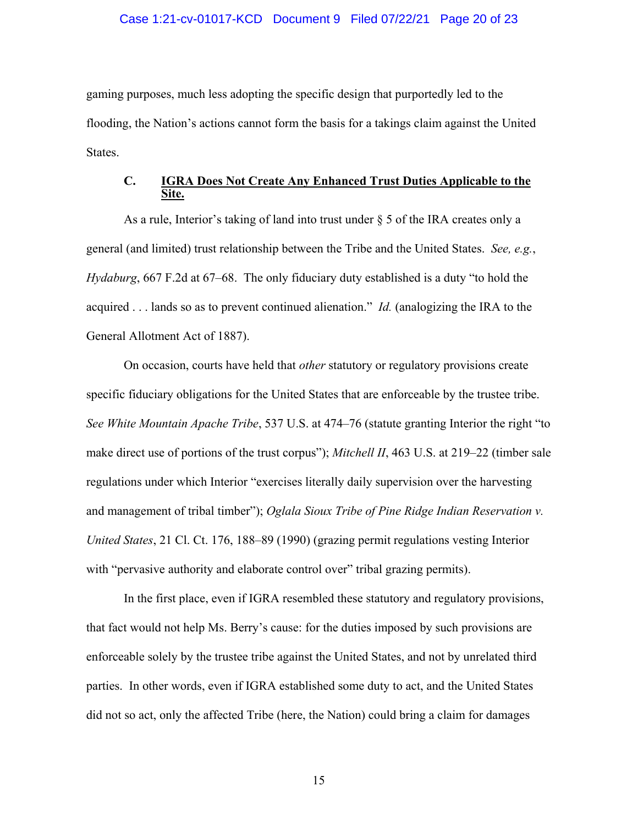#### Case 1:21-cv-01017-KCD Document 9 Filed 07/22/21 Page 20 of 23

gaming purposes, much less adopting the specific design that purportedly led to the flooding, the Nation's actions cannot form the basis for a takings claim against the United States.

## **C. IGRA Does Not Create Any Enhanced Trust Duties Applicable to the Site.**

As a rule, Interior's taking of land into trust under  $\S 5$  of the IRA creates only a general (and limited) trust relationship between the Tribe and the United States. *See, e.g.*, *Hydaburg*, 667 F.2d at 67–68. The only fiduciary duty established is a duty "to hold the acquired . . . lands so as to prevent continued alienation." *Id.* (analogizing the IRA to the General Allotment Act of 1887).

On occasion, courts have held that *other* statutory or regulatory provisions create specific fiduciary obligations for the United States that are enforceable by the trustee tribe. *See White Mountain Apache Tribe*, 537 U.S. at 474–76 (statute granting Interior the right "to make direct use of portions of the trust corpus"); *Mitchell II*, 463 U.S. at 219–22 (timber sale regulations under which Interior "exercises literally daily supervision over the harvesting and management of tribal timber"); *Oglala Sioux Tribe of Pine Ridge Indian Reservation v. United States*, 21 Cl. Ct. 176, 188–89 (1990) (grazing permit regulations vesting Interior with "pervasive authority and elaborate control over" tribal grazing permits).

In the first place, even if IGRA resembled these statutory and regulatory provisions, that fact would not help Ms. Berry's cause: for the duties imposed by such provisions are enforceable solely by the trustee tribe against the United States, and not by unrelated third parties. In other words, even if IGRA established some duty to act, and the United States did not so act, only the affected Tribe (here, the Nation) could bring a claim for damages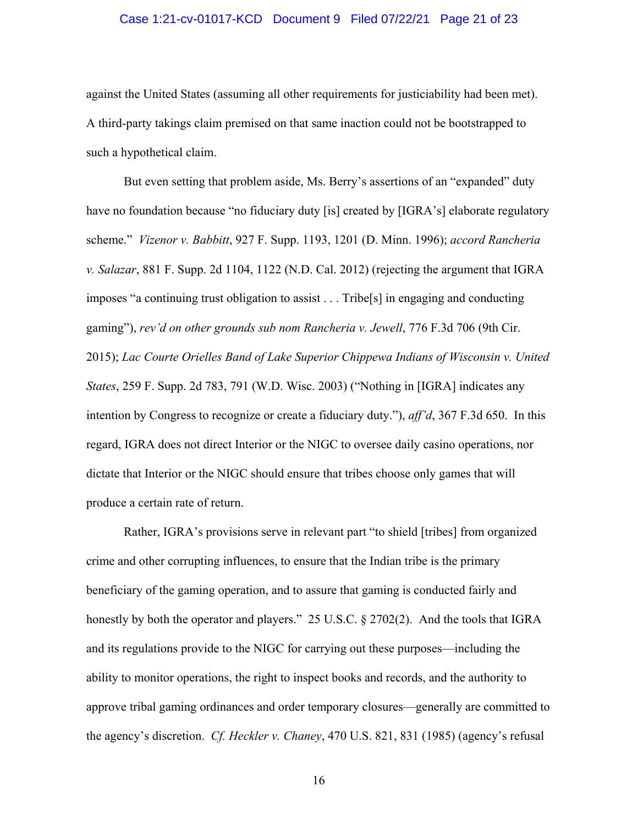#### Case 1:21-cv-01017-KCD Document 9 Filed 07/22/21 Page 21 of 23

against the United States (assuming all other requirements for justiciability had been met). A third-party takings claim premised on that same inaction could not be bootstrapped to such a hypothetical claim.

But even setting that problem aside, Ms. Berry's assertions of an "expanded" duty have no foundation because "no fiduciary duty [is] created by [IGRA's] elaborate regulatory scheme." *Vizenor v. Babbitt*, 927 F. Supp. 1193, 1201 (D. Minn. 1996); *accord Rancheria v. Salazar*, 881 F. Supp. 2d 1104, 1122 (N.D. Cal. 2012) (rejecting the argument that IGRA imposes "a continuing trust obligation to assist . . . Tribe[s] in engaging and conducting gaming"), *rev'd on other grounds sub nom Rancheria v. Jewell*, 776 F.3d 706 (9th Cir. 2015); *Lac Courte Orielles Band of Lake Superior Chippewa Indians of Wisconsin v. United States*, 259 F. Supp. 2d 783, 791 (W.D. Wisc. 2003) ("Nothing in [IGRA] indicates any intention by Congress to recognize or create a fiduciary duty."), *aff'd*, 367 F.3d 650. In this regard, IGRA does not direct Interior or the NIGC to oversee daily casino operations, nor dictate that Interior or the NIGC should ensure that tribes choose only games that will produce a certain rate of return.

Rather, IGRA's provisions serve in relevant part "to shield [tribes] from organized crime and other corrupting influences, to ensure that the Indian tribe is the primary beneficiary of the gaming operation, and to assure that gaming is conducted fairly and honestly by both the operator and players." 25 U.S.C. § 2702(2). And the tools that IGRA and its regulations provide to the NIGC for carrying out these purposes—including the ability to monitor operations, the right to inspect books and records, and the authority to approve tribal gaming ordinances and order temporary closures—generally are committed to the agency's discretion. *Cf. Heckler v. Chaney*, 470 U.S. 821, 831 (1985) (agency's refusal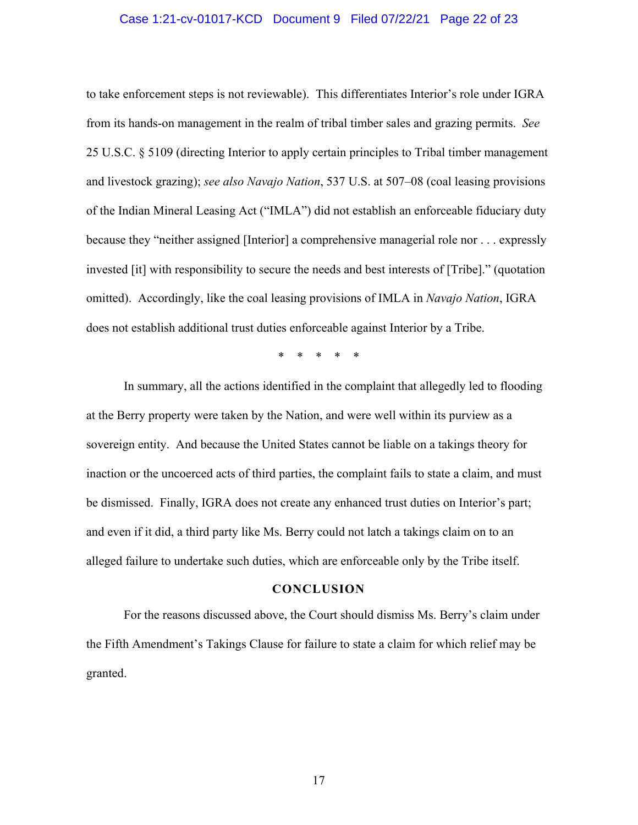#### Case 1:21-cv-01017-KCD Document 9 Filed 07/22/21 Page 22 of 23

to take enforcement steps is not reviewable). This differentiates Interior's role under IGRA from its hands-on management in the realm of tribal timber sales and grazing permits. *See* 25 U.S.C. § 5109 (directing Interior to apply certain principles to Tribal timber management and livestock grazing); *see also Navajo Nation*, 537 U.S. at 507–08 (coal leasing provisions of the Indian Mineral Leasing Act ("IMLA") did not establish an enforceable fiduciary duty because they "neither assigned [Interior] a comprehensive managerial role nor . . . expressly invested [it] with responsibility to secure the needs and best interests of [Tribe]." (quotation omitted). Accordingly, like the coal leasing provisions of IMLA in *Navajo Nation*, IGRA does not establish additional trust duties enforceable against Interior by a Tribe.

\* \* \* \* \*

In summary, all the actions identified in the complaint that allegedly led to flooding at the Berry property were taken by the Nation, and were well within its purview as a sovereign entity. And because the United States cannot be liable on a takings theory for inaction or the uncoerced acts of third parties, the complaint fails to state a claim, and must be dismissed. Finally, IGRA does not create any enhanced trust duties on Interior's part; and even if it did, a third party like Ms. Berry could not latch a takings claim on to an alleged failure to undertake such duties, which are enforceable only by the Tribe itself.

#### **CONCLUSION**

For the reasons discussed above, the Court should dismiss Ms. Berry's claim under the Fifth Amendment's Takings Clause for failure to state a claim for which relief may be granted.